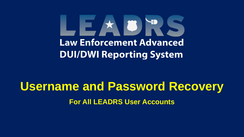# LEADRS **Law Enforcement Advanced DUI/DWI Reporting System**

# **Username and Password Recovery For All LEADRS User Accounts**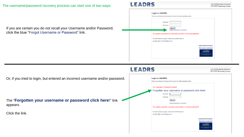## The username/password recovery process can start one of two ways:

# LEADRS

Law Enforcement Advanced **DUI/DWI** Reporting System

If you are certain you do not recall your Username and/or Password, click the blue "Forgot Username or Password" link.

| <b>Login to LEADRS.</b><br>Enter your username and password to access the online reporting system.<br><b>Username</b><br>Password<br>Sign In<br>Forgot Username or Password?<br>Your agency supervisor can setup new accounts or reset your password.<br>For other techincal support, contact the LEADRS team at<br>512-797-1047 or dwihelp@tmpa.org<br>Username/Password<br><b>Recovery Guide pdf</b><br>ame and Password Recover<br><b>Corporate Easthern Street Automobile</b> |  |  |
|-----------------------------------------------------------------------------------------------------------------------------------------------------------------------------------------------------------------------------------------------------------------------------------------------------------------------------------------------------------------------------------------------------------------------------------------------------------------------------------|--|--|
|                                                                                                                                                                                                                                                                                                                                                                                                                                                                                   |  |  |
|                                                                                                                                                                                                                                                                                                                                                                                                                                                                                   |  |  |
|                                                                                                                                                                                                                                                                                                                                                                                                                                                                                   |  |  |
|                                                                                                                                                                                                                                                                                                                                                                                                                                                                                   |  |  |
|                                                                                                                                                                                                                                                                                                                                                                                                                                                                                   |  |  |
|                                                                                                                                                                                                                                                                                                                                                                                                                                                                                   |  |  |
|                                                                                                                                                                                                                                                                                                                                                                                                                                                                                   |  |  |
|                                                                                                                                                                                                                                                                                                                                                                                                                                                                                   |  |  |

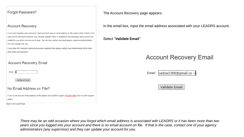## **Forgot Password?**

## **Account Recovery**

If you have forgotten your username / password and have an email address on file, please enter it below if it is valid you will be asked to answer your security question if this is validated a new temporary password will be emailed to you which you can use to login. You can also contact your local agency superviser/administrator who can change it for you.

If you have NOT entered a password recovery question then please contact your Administrator first to have them reset your password.

### **Account Recovery Email**

Email:

Validate Email

## No Email Address on File?

If you do not have an email address on file please call LEADRS support: 512-797-1047 (this is a 24hr support pager)

Back to the Login Page

The Account Recovery page appears.

In the email box, input the email address associated with your LEADRS account.

### Select "Validate Email"

# **Account Recovery Email**

Email: loedoe2388@gmail.co ×

**Validate Email** 

There may be an odd occasion where you forgot which email address is associated with LEADRS or it has been more than two years since you logged into your account and there is no email account on file. If that is the case, contact one of your agency administrators (any supervisor) and they can update your account for you.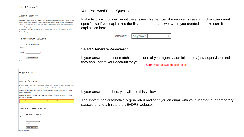#### Forgot Password?

#### **Account Recovery**

If you have forgotten your username / password and have an email address on file, please enter it below if it is valid you will be asked to answer your security question if this is validated a new temporary password will be emailed to you which you can use to login. You can also contact your local agency superviser/administrator who can change it for you.

If you have NOT entered a password recovery question then please contact your Administrator first to have them reset your password.

#### **Password Reset Question**

|           | In what city were you born? |
|-----------|-----------------------------|
| Question: |                             |
|           |                             |
| Answer:   | $\star$                     |
|           | Generate Password           |
|           | Back to the Login Page      |

Forgot Password?

#### **Account Recovery**

If you have forgotten your username / password and have an email address on file, please enter it below if it is valid you will be asked to answer your security question if this is validated a new temporary password will be emailed to you which you can use to login. You can also contact your local agency superviser/administrator who can change it for you.

If you have NOT entered a password recovery question then please contact your Administrator first to have them reset your password

Thank you, you should receive an email shortly containing your password.

#### **Password Reset Question**



Your Password Reset Question appears.

In the text box provided, input the answer. Remember, the answer is case and character count specific, so if you capitalized the first letter to the answer when you created it, make sure it is capitalized here.

> Answer: Anytown

### Select "**Generate Password**"

If your answer does not match, contact one of your agency administrators (any supervisor) and they can update your account for you.

Sorry! your answer doesnt match

 $\mathbf{\times}$ 

If your answer matches, you will see this yellow banner.

The system has automatically generated and sent you an email with your username, a temporary password, and a link to the LEADRS website.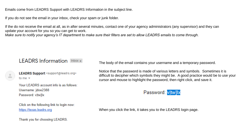Emails come from LEADRS Support with LEADRS Information in the subject line.

If you do not see the email in your inbox, check your spam or junk folder.

If the do not receive the email at all, as in after several minutes, contact one of your agency administrators (any supervisor) and they can update your account for you so you can get to work.

*Make sure to notify your agency's IT department to make sure their filters are set to allow LEADRS emails to come through.*

# LEADRS Information Inbox x

LEADRS Support <support@leadrs.org> to me  $\sim$ 

Your LEADRS account info is as follows: Username: jdoe2388 Password: v|tw]lx

Click on the following link to login now: https://texas.leadrs.org

Thank you for choosing LEADRS.

The body of the email contains your username and a temporary password.

Notice that the password is made of various letters and symbols. Sometimes it is difficult to decipher which symbols they might be. A good practice would be to use your cursor and mouse to highlight the password, then right click, and save it.

# Password: vitwilx

When you click the link, it takes you to the LEADRS login page.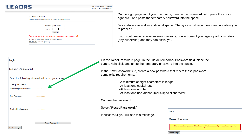# LEADRS

Law Enforcement Advanced **DUI/DWI** Reporting System

| Enter your username and password to access the online reporting system. |                                                                       |
|-------------------------------------------------------------------------|-----------------------------------------------------------------------|
|                                                                         |                                                                       |
| <b>Username</b>                                                         | joedoe2388                                                            |
| Password                                                                | $.$                                                                   |
|                                                                         | Sign In                                                               |
|                                                                         | Your agency supervisor can setup new accounts or reset your password. |
| For other techincal support, contact the LEADRS team at                 |                                                                       |
| 512-797-1047 or dwihelp@tmpa.org                                        |                                                                       |

| Login                      |                                                        |
|----------------------------|--------------------------------------------------------|
| <b>Reset Password</b>      |                                                        |
|                            | Enter the following information to reset your passweed |
| Hi jdoe2388                |                                                        |
| Old or Temporary Password: |                                                        |
| New Password:              |                                                        |
| Confirm New Password:      |                                                        |
|                            | <b>Reset Password</b>                                  |
| Back to Login              |                                                        |

On the login page, input your username, then on the password field, place the cursor, right click, and paste the temporary password into the space.

Be careful not to add an additional space. The system will recognize it and not allow you to proceed.

If you continue to receive an error message, contact one of your agency administrators (any supervisor) and they can assist you.

On the Reset Password page, in the Old or Temporary Password field, place the cursor, right click, and paste the temporary password into the space.

In the New Password field, create a new password that meets these password complexity requirements.

> -A minimum of eight characters in length -At least one capital letter -At least one number -At least one non-alphanumeric special character

Confirm the password.

Select "**Reset Password**."

If successful, you will see this message.

| Login                 |                                                                                            |  |
|-----------------------|--------------------------------------------------------------------------------------------|--|
| <b>Reset Password</b> |                                                                                            |  |
|                       | Thank you. Your password has been updated successfully. Please login again to<br>continue. |  |

**Back to Login**